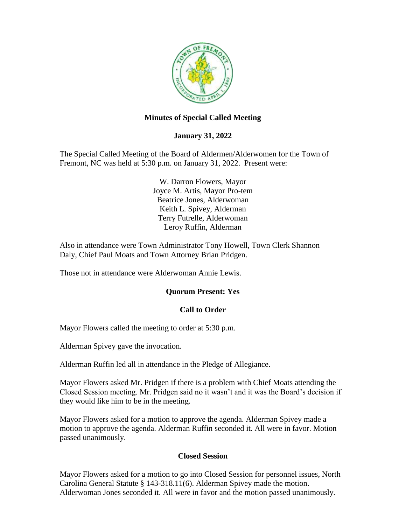

## **Minutes of Special Called Meeting**

### **January 31, 2022**

The Special Called Meeting of the Board of Aldermen/Alderwomen for the Town of Fremont, NC was held at 5:30 p.m. on January 31, 2022. Present were:

> W. Darron Flowers, Mayor Joyce M. Artis, Mayor Pro-tem Beatrice Jones, Alderwoman Keith L. Spivey, Alderman Terry Futrelle, Alderwoman Leroy Ruffin, Alderman

Also in attendance were Town Administrator Tony Howell, Town Clerk Shannon Daly, Chief Paul Moats and Town Attorney Brian Pridgen.

Those not in attendance were Alderwoman Annie Lewis.

### **Quorum Present: Yes**

### **Call to Order**

Mayor Flowers called the meeting to order at 5:30 p.m.

Alderman Spivey gave the invocation.

Alderman Ruffin led all in attendance in the Pledge of Allegiance.

Mayor Flowers asked Mr. Pridgen if there is a problem with Chief Moats attending the Closed Session meeting. Mr. Pridgen said no it wasn't and it was the Board's decision if they would like him to be in the meeting.

Mayor Flowers asked for a motion to approve the agenda. Alderman Spivey made a motion to approve the agenda. Alderman Ruffin seconded it. All were in favor. Motion passed unanimously.

### **Closed Session**

Mayor Flowers asked for a motion to go into Closed Session for personnel issues, North Carolina General Statute § 143-318.11(6). Alderman Spivey made the motion. Alderwoman Jones seconded it. All were in favor and the motion passed unanimously.